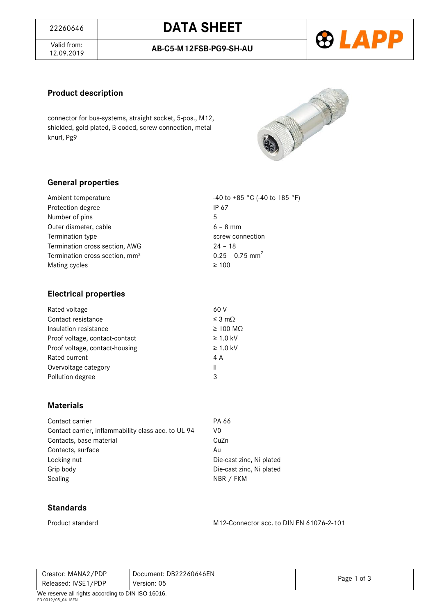# <sup>22260646</sup> **DATA SHEET**

Valid from:<br>12.09.2019



#### **Product description**

connector for bus-systems, straight socket, 5-pos., M12, shielded, gold-plated, B-coded, screw connection, metal knurl, Pg9



## **General properties**

| Ambient temperature                        | -40 to +85 °C (-40 to 185 °F) |
|--------------------------------------------|-------------------------------|
| Protection degree                          | IP 67                         |
| Number of pins                             | 5                             |
| Outer diameter, cable                      | $6 - 8$ mm                    |
| Termination type                           | screw connection              |
| Termination cross section, AWG             | $24 - 18$                     |
| Termination cross section, mm <sup>2</sup> | $0.25 - 0.75$ mm <sup>2</sup> |
| Mating cycles                              | $\geq 100$                    |

### **Electrical properties**

| 60 V                |
|---------------------|
| $\leq$ 3 m $\Omega$ |
| $\geq$ 100 MQ       |
| $\geq 1.0$ kV       |
| $\geq$ 1.0 kV       |
| 4 A                 |
| Ш                   |
| 3                   |
|                     |

### **Materials**

| Contact carrier                                     | PA 66        |
|-----------------------------------------------------|--------------|
| Contact carrier, inflammability class acc. to UL 94 | V0           |
| Contacts, base material                             | CuZn         |
| Contacts, surface                                   | Au           |
| Locking nut                                         | Die-cast zin |
| Grip body                                           | Die-cast zin |
| Sealing                                             | NBR / FKM    |

Die-cast zinc, Ni plated Die-cast zinc, Ni plated

### **Standards**

Product standard M12-Connector acc. to DIN EN 61076-2-101

| Creator: MANA2/PDP                                  | Document: DB22260646EN | Page 1 of 3 |
|-----------------------------------------------------|------------------------|-------------|
| Released: IVSE1/PDP                                 | Version: 05            |             |
| $M_0$ recense all rights according to DIN ISO 16016 |                        |             |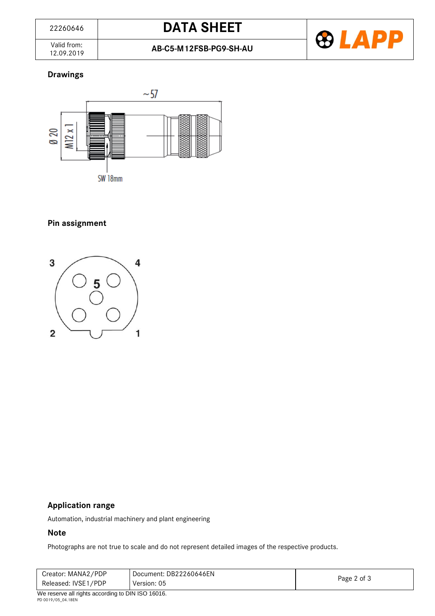Valid from:<br>12.09.2019



# **Drawings**



SW 18mm

# **Pin assignment**



# **Application range**

Automation, industrial machinery and plant engineering

#### **Note**

Photographs are not true to scale and do not represent detailed images of the respective products.

| Creator: MANA2/PDP<br>Released: IVSE1/PDP         | Document: DB22260646EN<br>Version: 05 | Page 2 of 3 |
|---------------------------------------------------|---------------------------------------|-------------|
| We reserve all rights according to DIN ISO 16016. |                                       |             |